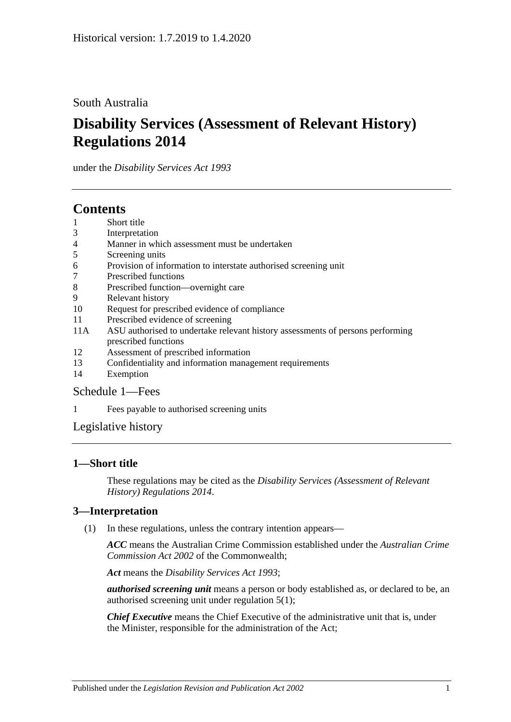## South Australia

# **Disability Services (Assessment of Relevant History) Regulations 2014**

under the *Disability Services Act 1993*

# **Contents**

- 1 [Short title](#page-0-0)
- 3 [Interpretation](#page-0-1)
- 4 [Manner in which assessment must be undertaken](#page-1-0)
- 5 [Screening units](#page-1-1)
- 6 [Provision of information to interstate authorised screening unit](#page-1-2)
- 7 [Prescribed functions](#page-1-3)
- 8 [Prescribed function—overnight care](#page-2-0)
- 9 [Relevant history](#page-2-1)
- 10 [Request for prescribed evidence of compliance](#page-3-0)
- 11 [Prescribed evidence of screening](#page-3-1)
- 11A [ASU authorised to undertake relevant history assessments of persons performing](#page-3-2)  [prescribed functions](#page-3-2)
- 12 [Assessment of prescribed information](#page-3-3)
- 13 [Confidentiality and information management requirements](#page-4-0)
- 14 [Exemption](#page-4-1)

#### [Schedule](#page-5-0) 1—Fees

1 [Fees payable to authorised screening units](#page-5-1)

[Legislative history](#page-6-0)

### <span id="page-0-0"></span>**1—Short title**

These regulations may be cited as the *Disability Services (Assessment of Relevant History) Regulations 2014*.

### <span id="page-0-1"></span>**3—Interpretation**

(1) In these regulations, unless the contrary intention appears—

*ACC* means the Australian Crime Commission established under the *Australian Crime Commission Act 2002* of the Commonwealth;

*Act* means the *[Disability Services Act](http://www.legislation.sa.gov.au/index.aspx?action=legref&type=act&legtitle=Disability%20Services%20Act%201993) 1993*;

*authorised screening unit* means a person or body established as, or declared to be, an authorised screening unit under [regulation](#page-1-4) 5(1);

*Chief Executive* means the Chief Executive of the administrative unit that is, under the Minister, responsible for the administration of the Act;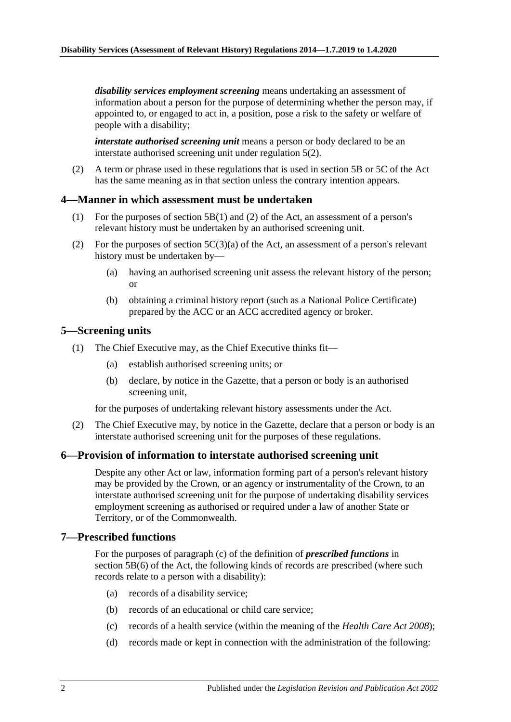*disability services employment screening* means undertaking an assessment of information about a person for the purpose of determining whether the person may, if appointed to, or engaged to act in, a position, pose a risk to the safety or welfare of people with a disability;

*interstate authorised screening unit* means a person or body declared to be an interstate authorised screening unit under [regulation](#page-1-5) 5(2).

(2) A term or phrase used in these regulations that is used in section 5B or 5C of the Act has the same meaning as in that section unless the contrary intention appears.

#### <span id="page-1-0"></span>**4—Manner in which assessment must be undertaken**

- (1) For the purposes of section 5B(1) and (2) of the Act, an assessment of a person's relevant history must be undertaken by an authorised screening unit.
- (2) For the purposes of section  $5C(3)(a)$  of the Act, an assessment of a person's relevant history must be undertaken by—
	- (a) having an authorised screening unit assess the relevant history of the person; or
	- (b) obtaining a criminal history report (such as a National Police Certificate) prepared by the ACC or an ACC accredited agency or broker.

#### <span id="page-1-4"></span><span id="page-1-1"></span>**5—Screening units**

- (1) The Chief Executive may, as the Chief Executive thinks fit—
	- (a) establish authorised screening units; or
	- (b) declare, by notice in the Gazette, that a person or body is an authorised screening unit,

for the purposes of undertaking relevant history assessments under the Act.

<span id="page-1-5"></span>(2) The Chief Executive may, by notice in the Gazette, declare that a person or body is an interstate authorised screening unit for the purposes of these regulations.

#### <span id="page-1-2"></span>**6—Provision of information to interstate authorised screening unit**

Despite any other Act or law, information forming part of a person's relevant history may be provided by the Crown, or an agency or instrumentality of the Crown, to an interstate authorised screening unit for the purpose of undertaking disability services employment screening as authorised or required under a law of another State or Territory, or of the Commonwealth.

#### <span id="page-1-3"></span>**7—Prescribed functions**

For the purposes of paragraph (c) of the definition of *prescribed functions* in section 5B(6) of the Act, the following kinds of records are prescribed (where such records relate to a person with a disability):

- (a) records of a disability service;
- (b) records of an educational or child care service;
- (c) records of a health service (within the meaning of the *[Health Care Act](http://www.legislation.sa.gov.au/index.aspx?action=legref&type=act&legtitle=Health%20Care%20Act%202008) 2008*);
- (d) records made or kept in connection with the administration of the following: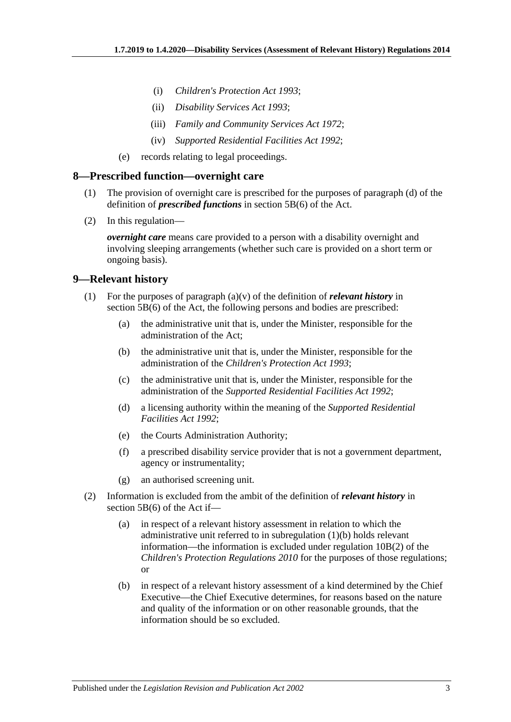- (i) *[Children's Protection Act](http://www.legislation.sa.gov.au/index.aspx?action=legref&type=act&legtitle=Childrens%20Protection%20Act%201993) 1993*;
- (ii) *[Disability Services Act](http://www.legislation.sa.gov.au/index.aspx?action=legref&type=act&legtitle=Disability%20Services%20Act%201993) 1993*;
- (iii) *[Family and Community Services Act](http://www.legislation.sa.gov.au/index.aspx?action=legref&type=act&legtitle=Family%20and%20Community%20Services%20Act%201972) 1972*;
- (iv) *[Supported Residential Facilities Act](http://www.legislation.sa.gov.au/index.aspx?action=legref&type=act&legtitle=Supported%20Residential%20Facilities%20Act%201992) 1992*;
- (e) records relating to legal proceedings.

#### <span id="page-2-0"></span>**8—Prescribed function—overnight care**

- (1) The provision of overnight care is prescribed for the purposes of paragraph (d) of the definition of *prescribed functions* in section 5B(6) of the Act.
- (2) In this regulation—

*overnight care* means care provided to a person with a disability overnight and involving sleeping arrangements (whether such care is provided on a short term or ongoing basis).

#### <span id="page-2-1"></span>**9—Relevant history**

- <span id="page-2-2"></span>(1) For the purposes of paragraph (a)(v) of the definition of *relevant history* in section 5B(6) of the Act, the following persons and bodies are prescribed:
	- (a) the administrative unit that is, under the Minister, responsible for the administration of the Act;
	- (b) the administrative unit that is, under the Minister, responsible for the administration of the *[Children's Protection Act](http://www.legislation.sa.gov.au/index.aspx?action=legref&type=act&legtitle=Childrens%20Protection%20Act%201993) 1993*;
	- (c) the administrative unit that is, under the Minister, responsible for the administration of the *[Supported Residential Facilities Act](http://www.legislation.sa.gov.au/index.aspx?action=legref&type=act&legtitle=Supported%20Residential%20Facilities%20Act%201992) 1992*;
	- (d) a licensing authority within the meaning of the *[Supported Residential](http://www.legislation.sa.gov.au/index.aspx?action=legref&type=act&legtitle=Supported%20Residential%20Facilities%20Act%201992)  [Facilities Act](http://www.legislation.sa.gov.au/index.aspx?action=legref&type=act&legtitle=Supported%20Residential%20Facilities%20Act%201992) 1992*;
	- (e) the Courts Administration Authority;
	- (f) a prescribed disability service provider that is not a government department, agency or instrumentality;
	- (g) an authorised screening unit.
- (2) Information is excluded from the ambit of the definition of *relevant history* in section 5B(6) of the Act if—
	- (a) in respect of a relevant history assessment in relation to which the administrative unit referred to in [subregulation](#page-2-2) (1)(b) holds relevant information—the information is excluded under regulation 10B(2) of the *[Children's Protection Regulations](http://www.legislation.sa.gov.au/index.aspx?action=legref&type=subordleg&legtitle=Childrens%20Protection%20Regulations%202010) 2010* for the purposes of those regulations; or
	- (b) in respect of a relevant history assessment of a kind determined by the Chief Executive—the Chief Executive determines, for reasons based on the nature and quality of the information or on other reasonable grounds, that the information should be so excluded.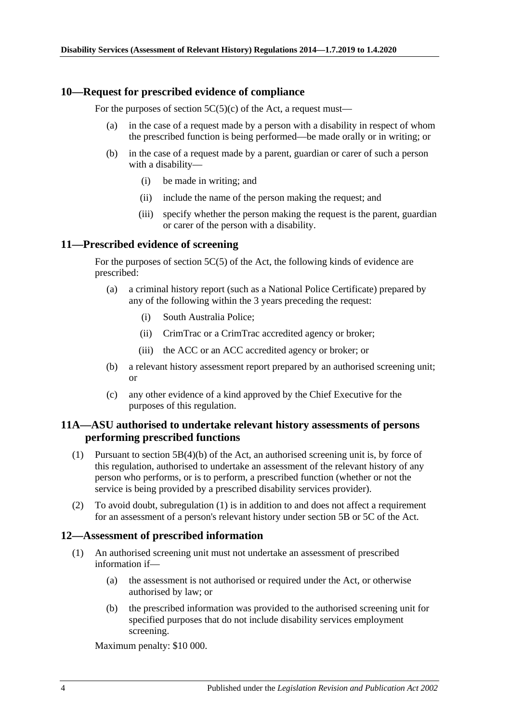#### <span id="page-3-0"></span>**10—Request for prescribed evidence of compliance**

For the purposes of section  $5C(5)(c)$  of the Act, a request must—

- (a) in the case of a request made by a person with a disability in respect of whom the prescribed function is being performed—be made orally or in writing; or
- (b) in the case of a request made by a parent, guardian or carer of such a person with a disability—
	- (i) be made in writing; and
	- (ii) include the name of the person making the request; and
	- (iii) specify whether the person making the request is the parent, guardian or carer of the person with a disability.

#### <span id="page-3-1"></span>**11—Prescribed evidence of screening**

For the purposes of section 5C(5) of the Act, the following kinds of evidence are prescribed:

- (a) a criminal history report (such as a National Police Certificate) prepared by any of the following within the 3 years preceding the request:
	- (i) South Australia Police;
	- (ii) CrimTrac or a CrimTrac accredited agency or broker;
	- (iii) the ACC or an ACC accredited agency or broker; or
- (b) a relevant history assessment report prepared by an authorised screening unit; or
- (c) any other evidence of a kind approved by the Chief Executive for the purposes of this regulation.

#### <span id="page-3-2"></span>**11A—ASU authorised to undertake relevant history assessments of persons performing prescribed functions**

- <span id="page-3-4"></span>(1) Pursuant to section 5B(4)(b) of the Act, an authorised screening unit is, by force of this regulation, authorised to undertake an assessment of the relevant history of any person who performs, or is to perform, a prescribed function (whether or not the service is being provided by a prescribed disability services provider).
- (2) To avoid doubt, [subregulation](#page-3-4) (1) is in addition to and does not affect a requirement for an assessment of a person's relevant history under section 5B or 5C of the Act.

#### <span id="page-3-3"></span>**12—Assessment of prescribed information**

- (1) An authorised screening unit must not undertake an assessment of prescribed information if—
	- (a) the assessment is not authorised or required under the Act, or otherwise authorised by law; or
	- (b) the prescribed information was provided to the authorised screening unit for specified purposes that do not include disability services employment screening.

Maximum penalty: \$10 000.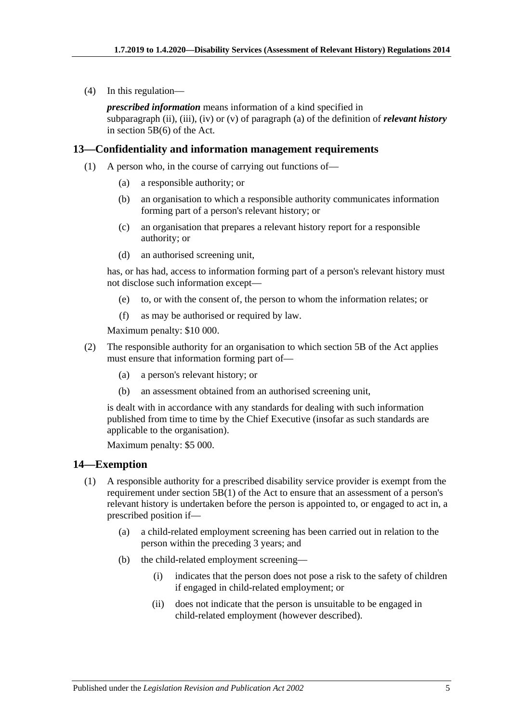(4) In this regulation—

*prescribed information* means information of a kind specified in subparagraph (ii), (iii), (iv) or (v) of paragraph (a) of the definition of *relevant history* in section 5B(6) of the Act.

#### <span id="page-4-0"></span>**13—Confidentiality and information management requirements**

- (1) A person who, in the course of carrying out functions of—
	- (a) a responsible authority; or
	- (b) an organisation to which a responsible authority communicates information forming part of a person's relevant history; or
	- (c) an organisation that prepares a relevant history report for a responsible authority; or
	- (d) an authorised screening unit,

has, or has had, access to information forming part of a person's relevant history must not disclose such information except—

- (e) to, or with the consent of, the person to whom the information relates; or
- (f) as may be authorised or required by law.

Maximum penalty: \$10 000.

- (2) The responsible authority for an organisation to which section 5B of the Act applies must ensure that information forming part of—
	- (a) a person's relevant history; or
	- (b) an assessment obtained from an authorised screening unit,

is dealt with in accordance with any standards for dealing with such information published from time to time by the Chief Executive (insofar as such standards are applicable to the organisation).

Maximum penalty: \$5 000.

#### <span id="page-4-1"></span>**14—Exemption**

- (1) A responsible authority for a prescribed disability service provider is exempt from the requirement under section  $5B(1)$  of the Act to ensure that an assessment of a person's relevant history is undertaken before the person is appointed to, or engaged to act in, a prescribed position if—
	- (a) a child-related employment screening has been carried out in relation to the person within the preceding 3 years; and
	- (b) the child-related employment screening—
		- (i) indicates that the person does not pose a risk to the safety of children if engaged in child-related employment; or
		- (ii) does not indicate that the person is unsuitable to be engaged in child-related employment (however described).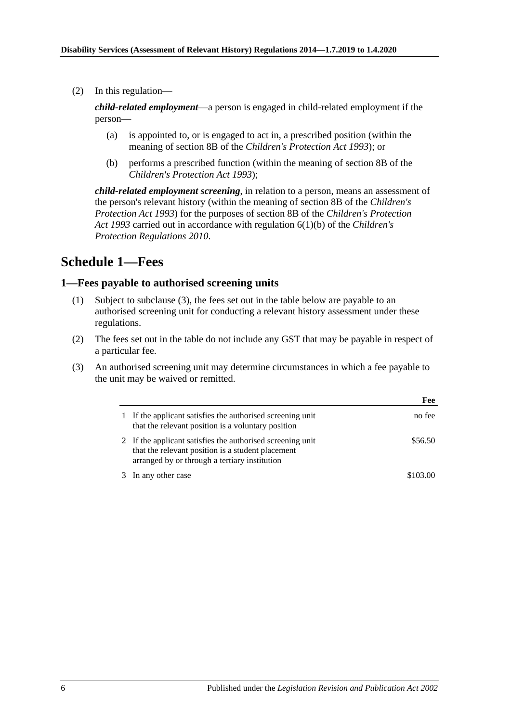(2) In this regulation—

*child-related employment*—a person is engaged in child-related employment if the person—

- (a) is appointed to, or is engaged to act in, a prescribed position (within the meaning of section 8B of the *[Children's Protection Act](http://www.legislation.sa.gov.au/index.aspx?action=legref&type=act&legtitle=Childrens%20Protection%20Act%201993) 1993*); or
- (b) performs a prescribed function (within the meaning of section 8B of the *[Children's Protection Act](http://www.legislation.sa.gov.au/index.aspx?action=legref&type=act&legtitle=Childrens%20Protection%20Act%201993) 1993*);

*child-related employment screening*, in relation to a person, means an assessment of the person's relevant history (within the meaning of section 8B of the *[Children's](http://www.legislation.sa.gov.au/index.aspx?action=legref&type=act&legtitle=Childrens%20Protection%20Act%201993)  [Protection Act](http://www.legislation.sa.gov.au/index.aspx?action=legref&type=act&legtitle=Childrens%20Protection%20Act%201993) 1993*) for the purposes of section 8B of the *[Children's Protection](http://www.legislation.sa.gov.au/index.aspx?action=legref&type=act&legtitle=Childrens%20Protection%20Act%201993)  Act [1993](http://www.legislation.sa.gov.au/index.aspx?action=legref&type=act&legtitle=Childrens%20Protection%20Act%201993)* carried out in accordance with regulation 6(1)(b) of the *[Children's](http://www.legislation.sa.gov.au/index.aspx?action=legref&type=subordleg&legtitle=Childrens%20Protection%20Regulations%202010)  [Protection Regulations](http://www.legislation.sa.gov.au/index.aspx?action=legref&type=subordleg&legtitle=Childrens%20Protection%20Regulations%202010) 2010*.

# <span id="page-5-0"></span>**Schedule 1—Fees**

#### <span id="page-5-1"></span>**1—Fees payable to authorised screening units**

- (1) Subject to [subclause](#page-5-2) (3), the fees set out in the table below are payable to an authorised screening unit for conducting a relevant history assessment under these regulations.
- (2) The fees set out in the table do not include any GST that may be payable in respect of a particular fee.
- <span id="page-5-2"></span>(3) An authorised screening unit may determine circumstances in which a fee payable to the unit may be waived or remitted.

|    |                                                                                                                                                                  | Fee      |
|----|------------------------------------------------------------------------------------------------------------------------------------------------------------------|----------|
| 1  | If the applicant satisfies the authorised screening unit<br>that the relevant position is a voluntary position                                                   | no fee   |
|    | 2 If the applicant satisfies the authorised screening unit<br>that the relevant position is a student placement<br>arranged by or through a tertiary institution | \$56.50  |
| 3. | In any other case                                                                                                                                                | \$103.00 |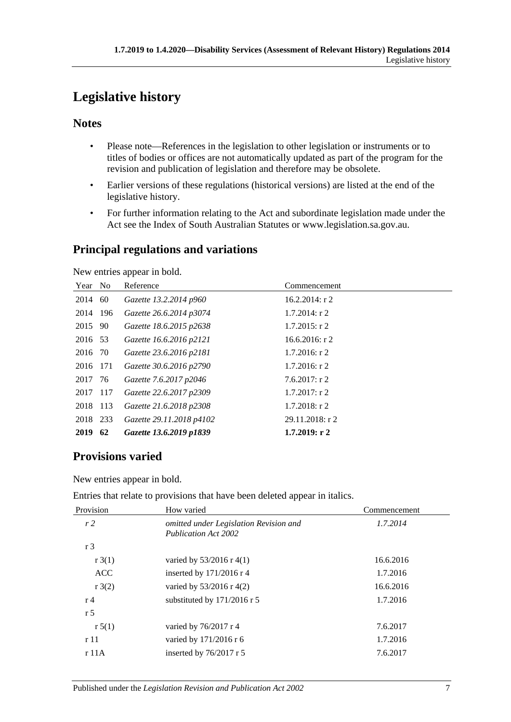# <span id="page-6-0"></span>**Legislative history**

# **Notes**

- Please note—References in the legislation to other legislation or instruments or to titles of bodies or offices are not automatically updated as part of the program for the revision and publication of legislation and therefore may be obsolete.
- Earlier versions of these regulations (historical versions) are listed at the end of the legislative history.
- For further information relating to the Act and subordinate legislation made under the Act see the Index of South Australian Statutes or www.legislation.sa.gov.au.

# **Principal regulations and variations**

New entries appear in bold.

| Year No  |    | Reference                | Commencement      |
|----------|----|--------------------------|-------------------|
| 2014     | 60 | Gazette 13.2.2014 p960   | $16.2.2014$ : r 2 |
| 2014 196 |    | Gazette 26.6.2014 p3074  | $1.7.2014$ : r 2  |
| 2015     | 90 | Gazette 18.6.2015 p2638  | $1.7.2015$ : r 2  |
| 2016 53  |    | Gazette 16.6.2016 p2121  | $16.6.2016$ : r 2 |
| 2016 70  |    | Gazette 23.6.2016 p2181  | $1.7.2016$ : r 2  |
| 2016 171 |    | Gazette 30.6.2016 p2790  | $1.7.2016$ : r 2  |
| 2017 76  |    | Gazette 7.6.2017 p2046   | 7.6.2017: r2      |
| 2017 117 |    | Gazette 22.6.2017 p2309  | $1.7.2017$ : r 2  |
| 2018 113 |    | Gazette 21.6.2018 p2308  | $1.7.2018$ : r 2  |
| 2018 233 |    | Gazette 29.11.2018 p4102 | 29.11.2018: r 2   |
| 2019     | 62 | Gazette 13.6.2019 p1839  | 1.7.2019: r2      |

# **Provisions varied**

New entries appear in bold.

Entries that relate to provisions that have been deleted appear in italics.

| Provision      | How varied                                                            | Commencement |
|----------------|-----------------------------------------------------------------------|--------------|
| r <sub>2</sub> | omitted under Legislation Revision and<br><b>Publication Act 2002</b> | 1.7.2014     |
| r 3            |                                                                       |              |
| r3(1)          | varied by $53/2016$ r 4(1)                                            | 16.6.2016    |
| <b>ACC</b>     | inserted by $171/2016$ r 4                                            | 1.7.2016     |
| r3(2)          | varied by $53/2016$ r 4(2)                                            | 16.6.2016    |
| r 4            | substituted by 171/2016 r 5                                           | 1.7.2016     |
| r <sub>5</sub> |                                                                       |              |
| r 5(1)         | varied by 76/2017 r 4                                                 | 7.6.2017     |
| r11            | varied by $171/2016$ r 6                                              | 1.7.2016     |
| r 11A          | inserted by $76/2017$ r 5                                             | 7.6.2017     |
|                |                                                                       |              |